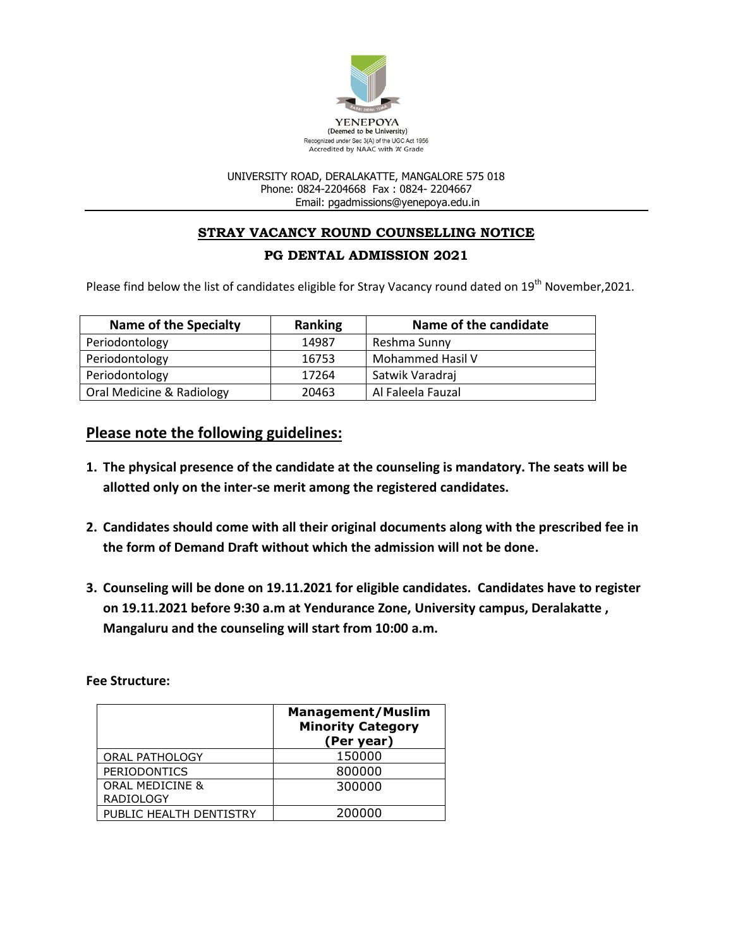

#### UNIVERSITY ROAD, DERALAKATTE, MANGALORE 575 018 Phone: 0824-2204668 Fax : 0824- 2204667 Email: pgadmissions@yenepoya.edu.in

# **STRAY VACANCY ROUND COUNSELLING NOTICE**

### **PG DENTAL ADMISSION 2021**

Please find below the list of candidates eligible for Stray Vacancy round dated on 19<sup>th</sup> November, 2021.

| Name of the Specialty     | <b>Ranking</b> | Name of the candidate |
|---------------------------|----------------|-----------------------|
| Periodontology            | 14987          | Reshma Sunny          |
| Periodontology            | 16753          | Mohammed Hasil V      |
| Periodontology            | 17264          | Satwik Varadraj       |
| Oral Medicine & Radiology | 20463          | Al Faleela Fauzal     |

## **Please note the following guidelines:**

- **1. The physical presence of the candidate at the counseling is mandatory. The seats will be allotted only on the inter-se merit among the registered candidates.**
- **2. Candidates should come with all their original documents along with the prescribed fee in the form of Demand Draft without which the admission will not be done.**
- **3. Counseling will be done on 19.11.2021 for eligible candidates. Candidates have to register on 19.11.2021 before 9:30 a.m at Yendurance Zone, University campus, Deralakatte , Mangaluru and the counseling will start from 10:00 a.m.**

**Fee Structure:**

|                            | <b>Management/Muslim</b><br><b>Minority Category</b><br>(Per year) |
|----------------------------|--------------------------------------------------------------------|
| ORAL PATHOLOGY             | 150000                                                             |
| <b>PERIODONTICS</b>        | 800000                                                             |
| <b>ORAL MEDICINE &amp;</b> | 300000                                                             |
| <b>RADIOLOGY</b>           |                                                                    |
| PUBLIC HEALTH DENTISTRY    | 200000                                                             |